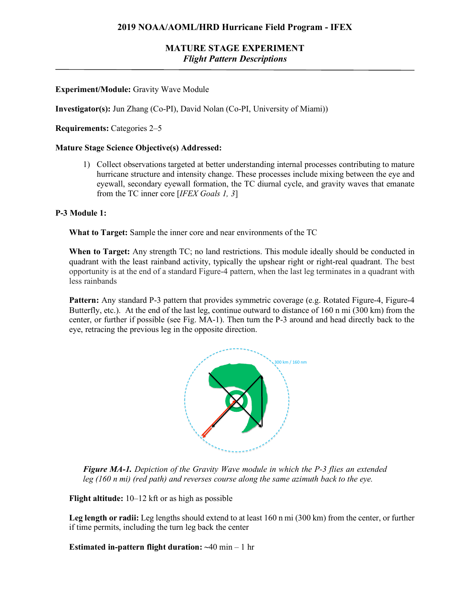### **MATURE STAGE EXPERIMENT** *Flight Pattern Descriptions*

### **Experiment/Module:** Gravity Wave Module

**Investigator(s):** Jun Zhang (Co-PI), David Nolan (Co-PI, University of Miami))

**Requirements:** Categories 2–5

#### **Mature Stage Science Objective(s) Addressed:**

1) Collect observations targeted at better understanding internal processes contributing to mature hurricane structure and intensity change. These processes include mixing between the eye and eyewall, secondary eyewall formation, the TC diurnal cycle, and gravity waves that emanate from the TC inner core [*IFEX Goals 1, 3*]

#### **P-3 Module 1:**

**What to Target:** Sample the inner core and near environments of the TC

**When to Target:** Any strength TC; no land restrictions. This module ideally should be conducted in quadrant with the least rainband activity, typically the upshear right or right-real quadrant. The best opportunity is at the end of a standard Figure-4 pattern, when the last leg terminates in a quadrant with less rainbands

**Pattern:** Any standard P-3 pattern that provides symmetric coverage (e.g. Rotated Figure-4, Figure-4 Butterfly, etc.). At the end of the last leg, continue outward to distance of 160 n mi (300 km) from the center, or further if possible (see Fig. MA-1). Then turn the P-3 around and head directly back to the eye, retracing the previous leg in the opposite direction.



**Figure MA-1.** Depiction of the Gravity Wave module in which the P-3 flies an extended leg (160 n mi) (red path) and reverses course along the same azimuth back to the eye.

**Flight altitude:** 10–12 kft or as high as possible  $-12$  KIT of as  $mgn$  as possible

Leg length or radii: Leg lengths should extend to at least 160 n mi (300 km) from the center, or further if time permits, including the turn leg back the center

**Estimated in-pattern flight duration: ~**40 min – 1 hr